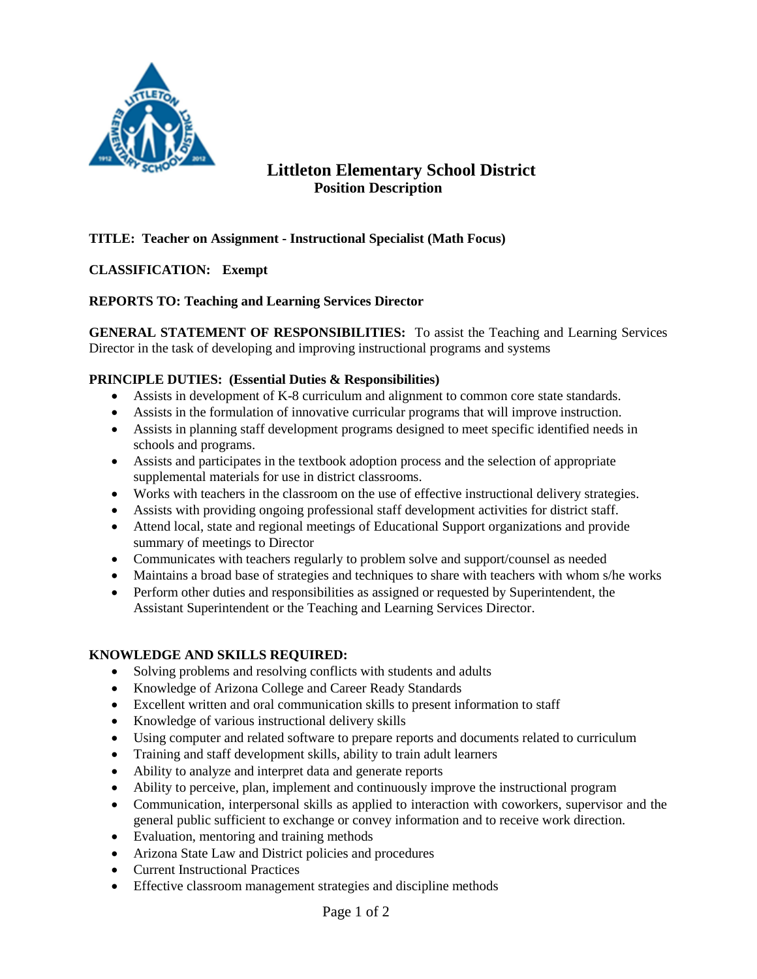

# **Littleton Elementary School District Position Description**

## **TITLE: Teacher on Assignment - Instructional Specialist (Math Focus)**

### **CLASSIFICATION: Exempt**

### **REPORTS TO: Teaching and Learning Services Director**

**GENERAL STATEMENT OF RESPONSIBILITIES:** To assist the Teaching and Learning Services Director in the task of developing and improving instructional programs and systems

#### **PRINCIPLE DUTIES: (Essential Duties & Responsibilities)**

- Assists in development of K-8 curriculum and alignment to common core state standards.
- Assists in the formulation of innovative curricular programs that will improve instruction.
- Assists in planning staff development programs designed to meet specific identified needs in schools and programs.
- Assists and participates in the textbook adoption process and the selection of appropriate supplemental materials for use in district classrooms.
- Works with teachers in the classroom on the use of effective instructional delivery strategies.
- Assists with providing ongoing professional staff development activities for district staff.
- Attend local, state and regional meetings of Educational Support organizations and provide summary of meetings to Director
- Communicates with teachers regularly to problem solve and support/counsel as needed
- Maintains a broad base of strategies and techniques to share with teachers with whom s/he works
- Perform other duties and responsibilities as assigned or requested by Superintendent, the Assistant Superintendent or the Teaching and Learning Services Director.

### **KNOWLEDGE AND SKILLS REQUIRED:**

- Solving problems and resolving conflicts with students and adults
- Knowledge of Arizona College and Career Ready Standards
- Excellent written and oral communication skills to present information to staff
- Knowledge of various instructional delivery skills
- Using computer and related software to prepare reports and documents related to curriculum
- Training and staff development skills, ability to train adult learners
- Ability to analyze and interpret data and generate reports
- Ability to perceive, plan, implement and continuously improve the instructional program
- Communication, interpersonal skills as applied to interaction with coworkers, supervisor and the general public sufficient to exchange or convey information and to receive work direction.
- Evaluation, mentoring and training methods
- Arizona State Law and District policies and procedures
- Current Instructional Practices
- Effective classroom management strategies and discipline methods